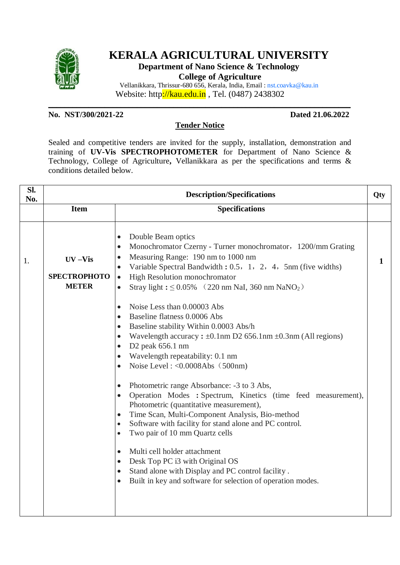

# **KERALA AGRICULTURAL UNIVERSITY**

**Department of Nano Science & Technology**

**College of Agriculture**

Vellanikkara, Thrissur-680 656, Kerala, India, Email : nst.coavka@kau.in Website: http://kau.edu.in , Tel. (0487) 2438302

**No. NST/300/2021-22 Dated 21.06.2022**

## **Tender Notice**

**\_\_\_\_\_\_\_\_\_\_\_\_\_\_\_\_\_\_\_\_\_\_\_\_\_\_\_\_\_\_\_\_\_\_\_\_\_\_\_\_\_\_\_\_\_\_\_\_\_\_\_\_\_\_\_\_\_\_\_\_\_\_\_\_\_\_\_\_\_\_\_\_\_\_\_**

Sealed and competitive tenders are invited for the supply, installation, demonstration and training of **UV-Vis SPECTROPHOTOMETER** for Department of Nano Science & Technology, College of Agriculture**,** Vellanikkara as per the specifications and terms & conditions detailed below.

| SI.<br>No. | <b>Description/Specifications</b>                 |                                                                                                                                                                                                                                                                                                                                                                                                                                                                                                                                                                                                                                                                                                                                                                                                                                                                                                                                                                                       | Qty         |
|------------|---------------------------------------------------|---------------------------------------------------------------------------------------------------------------------------------------------------------------------------------------------------------------------------------------------------------------------------------------------------------------------------------------------------------------------------------------------------------------------------------------------------------------------------------------------------------------------------------------------------------------------------------------------------------------------------------------------------------------------------------------------------------------------------------------------------------------------------------------------------------------------------------------------------------------------------------------------------------------------------------------------------------------------------------------|-------------|
|            | <b>Item</b>                                       | <b>Specifications</b>                                                                                                                                                                                                                                                                                                                                                                                                                                                                                                                                                                                                                                                                                                                                                                                                                                                                                                                                                                 |             |
| 1.         | $UV - Vis$<br><b>SPECTROPHOTO</b><br><b>METER</b> | Double Beam optics<br>$\bullet$<br>Monochromator Czerny - Turner monochromator, 1200/mm Grating<br>$\bullet$<br>Measuring Range: 190 nm to 1000 nm<br>$\bullet$<br>Variable Spectral Bandwidth: 0.5, 1, 2, 4, 5nm (five widths)<br>$\bullet$<br>High Resolution monochromator<br>$\bullet$<br>Stray light: $\leq 0.05\%$ (220 nm NaI, 360 nm NaNO <sub>2</sub> )<br>$\bullet$                                                                                                                                                                                                                                                                                                                                                                                                                                                                                                                                                                                                         | $\mathbf 1$ |
|            |                                                   | Noise Less than 0.00003 Abs<br>$\bullet$<br>Baseline flatness 0.0006 Abs<br>$\bullet$<br>Baseline stability Within 0.0003 Abs/h<br>$\bullet$<br>Wavelength accuracy: $\pm 0.1$ nm D2 656.1nm $\pm 0.3$ nm (All regions)<br>$\bullet$<br>D2 peak 656.1 nm<br>$\bullet$<br>Wavelength repeatability: 0.1 nm<br>$\bullet$<br>Noise Level: $< 0.0008$ Abs $(500$ nm)<br>$\bullet$<br>Photometric range Absorbance: -3 to 3 Abs,<br>$\bullet$<br>Operation Modes : Spectrum, Kinetics (time feed measurement),<br>$\bullet$<br>Photometric (quantitative measurement),<br>Time Scan, Multi-Component Analysis, Bio-method<br>$\bullet$<br>Software with facility for stand alone and PC control.<br>$\bullet$<br>Two pair of 10 mm Quartz cells<br>$\bullet$<br>Multi cell holder attachment<br>$\bullet$<br>Desk Top PC i3 with Original OS<br>$\bullet$<br>Stand alone with Display and PC control facility.<br>$\bullet$<br>Built in key and software for selection of operation modes. |             |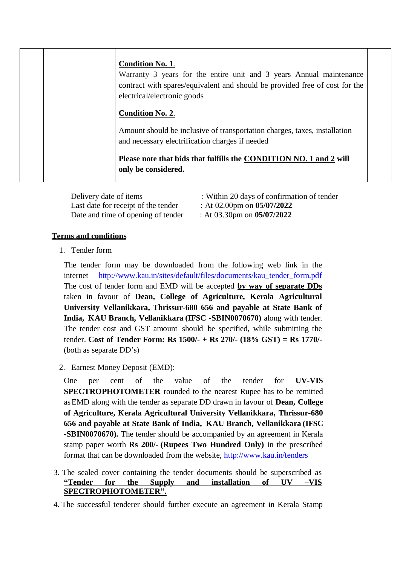|  | <b>Condition No. 1.</b><br>Warranty 3 years for the entire unit and 3 years Annual maintenance<br>contract with spares/equivalent and should be provided free of cost for the<br>electrical/electronic goods<br><b>Condition No. 2.</b> |  |
|--|-----------------------------------------------------------------------------------------------------------------------------------------------------------------------------------------------------------------------------------------|--|
|  | Amount should be inclusive of transportation charges, taxes, installation<br>and necessary electrification charges if needed                                                                                                            |  |
|  | Please note that bids that fulfills the CONDITION NO. 1 and 2 will<br>only be considered.                                                                                                                                               |  |

Last date for receipt of the tender : At 02.00pm on **05/07/2022** Date and time of opening of tender : At 03.30pm on **05/07/2022**

- Delivery date of items : Within 20 days of confirmation of tender
	-
	-

## **Terms and conditions**

1. Tender form

The tender form may be downloaded from the following web link in the internet http://www.kau.in/sites/default/files/documents/kau tender form.pdf The cost of tender form and EMD will be accepted **by way of separate DDs** taken in favour of **Dean, College of Agriculture, Kerala Agricultural University Vellanikkara, Thrissur-680 656 and payable at State Bank of India, KAU Branch, Vellanikkara (IFSC -SBIN0070670)** along with tender. The tender cost and GST amount should be specified, while submitting the tender. **Cost of Tender Form: Rs 1500/- + Rs 270/- (18% GST) = Rs 1770/-**  (both as separate DD's)

2. Earnest Money Deposit (EMD):

One per cent of the value of the tender for **UV-VIS SPECTROPHOTOMETER** rounded to the nearest Rupee has to be remitted asEMD along with the tender as separate DD drawn in favour of **Dean, College of Agriculture, Kerala Agricultural University Vellanikkara, Thrissur-680 656 and payable at State Bank of India, KAU Branch, Vellanikkara (IFSC -SBIN0070670).** The tender should be accompanied by an agreement in Kerala stamp paper worth **Rs 200/- (Rupees Two Hundred Only)** in the prescribed format that can be downloaded from the website, <http://www.kau.in/tenders>

- 3. The sealed cover containing the tender documents should be superscribed as **"Tender for the Supply and installation of UV –VIS SPECTROPHOTOMETER".**
- 4. The successful tenderer should further execute an agreement in Kerala Stamp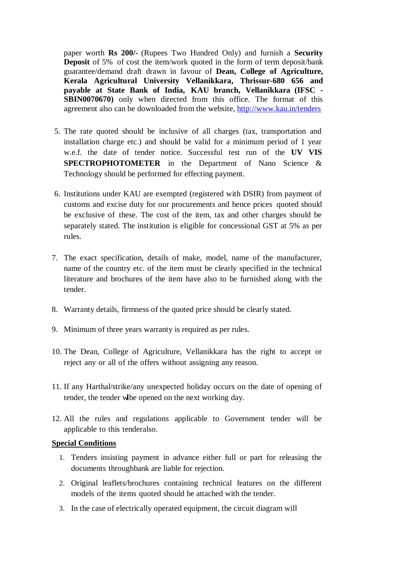paper worth **Rs 200/-** (Rupees Two Hundred Only) and furnish a **Security Deposit** of 5% of cost the item/work quoted in the form of term deposit/bank guarantee/demand draft drawn in favour of **Dean, College of Agriculture, Kerala Agricultural University Vellanikkara, Thrissur-680 656 and payable at State Bank of India, KAU branch, Vellanikkara (IFSC - SBIN0070670)** only when directed from this office. The format of this agreement also can be downloaded from the website, <http://www.kau.in/tenders>

- 5. The rate quoted should be inclusive of all charges (tax, transportation and installation charge etc.) and should be valid for a minimum period of 1 year w.e.f. the date of tender notice. Successful test run of the **UV VIS SPECTROPHOTOMETER** in the Department of Nano Science & Technology should be performed for effecting payment.
- 6. Institutions under KAU are exempted (registered with DSIR) from payment of customs and excise duty for our procurements and hence prices quoted should be exclusive of these. The cost of the item, tax and other charges should be separately stated. The institution is eligible for concessional GST at 5% as per rules.
- 7. The exact specification, details of make, model, name of the manufacturer, name of the country etc. of the item must be clearly specified in the technical literature and brochures of the item have also to be furnished along with the tender.
- 8. Warranty details, firmness of the quoted price should be clearly stated.
- 9. Minimum of three years warranty is required as per rules.
- 10. The Dean, College of Agriculture, Vellanikkara has the right to accept or reject any or all of the offers without assigning any reason.
- 11. If any Harthal/strike/any unexpected holiday occurs on the date of opening of tender, the tender wilbe opened on the next working day.
- 12. All the rules and regulations applicable to Government tender will be applicable to this tenderalso.

#### **Special Conditions**

- 1. Tenders insisting payment in advance either full or part for releasing the documents throughbank are liable for rejection.
- 2. Original leaflets/brochures containing technical features on the different models of the items quoted should be attached with the tender.
- 3. In the case of electrically operated equipment, the circuit diagram will